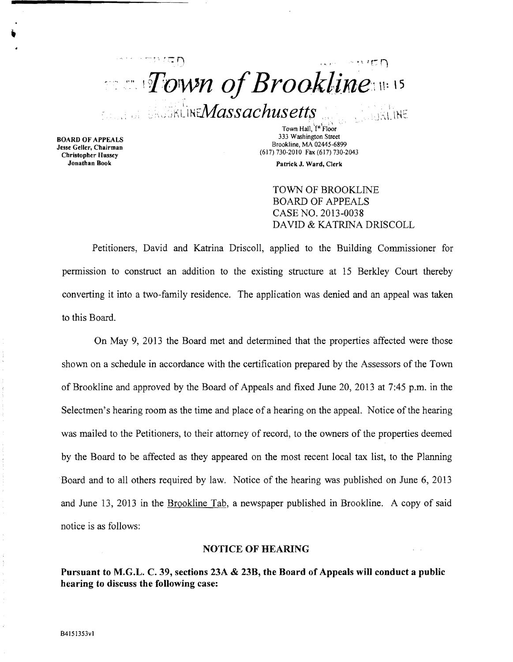$\cdot$ ... *Town of Brookline*  $\epsilon$ <sub>is and internal int</sub> Massachusetts  $\epsilon$ **CONSUME** 

Town Hall, <sup>'[st'</sup>Floor<br>333 Washington Street 333 Washington Street BOARD OF APPEALS<br>
333 Washington Street Brookline, MA 02445-6899<br>
Christopher Hussey (617) 730-2010 Fax (617) 730-2043

Jonathan Book Patrick J. Ward, Clerk

TOWN OF BROOKLINE BOARD OF APPEALS CASE NO. 2013-0038 DAVID & KATRINA DRISCOLL

Petitioners, David and Katrina Driscoll, applied to the Building Commissioner for permission to construct an addition to the existing structure at 15 Berkley Court thereby converting it into a two-family residence. The application was denied and an appeal was taken to this Board.

On May 9, 2013 the Board met and determined that the properties affected were those shown on a schedule in accordance with the certification prepared by the Assessors of the Town of Brookline and approved by the Board of Appeals and fixed June 20,2013 at 7:45 p.m. in the Selectmen's hearing room as the time and place of a hearing on the appeal. Notice of the hearing was mailed to the Petitioners, to their attorney of record, to the owners of the properties deemed by the Board to be affected as they appeared on the most recent local tax list, to the Planning Board and to all others required by law. Notice of the hearing was published on June 6, 2013 and June 13, 2013 in the Brookline Tab, a newspaper published in Brookline. A copy of said notice is as follows:

#### NOTICE OF HEARING

Pursuant to M.G.L. C. 39, sections 23A & 23B, the Board of Appeals will conduct a public hearing to discuss the following case: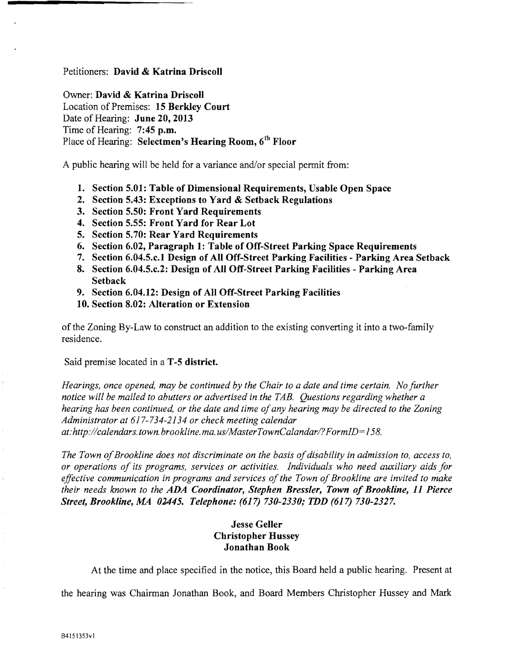## Petitioners: David & Katrina Driscoll

Owner: David & Katrina Driscoll Location of Premises: 15 Berkley Court Date of Hearing: June 20, 2013 Time of Hearing: 7:45 p.m. Place of Hearing: Selectmen's Hearing Room, 6<sup>th</sup> Floor

A public hearing will be held for a variance and/or special permit from:

- 1. Section 5.01: Table of Dimensional Requirements, Usable Open Space
- 2. Section 5.43: Exceptions to Yard & Setback Regulations
- 3. Section 5.50: Front Yard Requirements
- 4. Section 5.55: Front Yard for Rear Lot
- 5. Section 5.70: Rear Yard Requirements
- 6. Section 6.02, Paragraph 1: Table of Off-Street Parking Space Requirements
- 7. Section 6.04.5.c.1 Design of All Off-Street Parking Facilities Parking Area Setback
- 8. Section 6.04.5.c.2: Design of All Off-Street Parking Facilities Parking Area **Setback**
- 9. Section 6.04.12: Design of All Off-Street Parking Facilities
- 10. Section 8.02: Alteration or Extension

of the Zoning By-Law to construct an addition to the existing converting it into a two-family residence.

Said premise located in a **T-5 district.** 

*Hearings, once opened, may be continued by the Chair to a date and time certain. No further notice will be mailed to abutters or advertised in the TAB. Questions regarding whether a hearing has been continued, or the date and time ofany hearing may be directed to the Zoning Administrator at* 617-734-2134 *or check meeting calendar at:http://calendars.town.brookline.ma.usIMasterTownCalandarl? FormID= 158.* 

The Town of Brookline does not discriminate on the basis of disability in admission to, access to, *or operations of its programs, services or activities. Individuals who need auxiliary aids for effective communication in programs and services of the Town of Brookline are invited to make their needs known to the ADA Coordinator, Stephen Bressler, Town of Brookline,* 11 *Pierce Street, Brookline, MA 02445. Telephone:* (617) *730-2330; TDD* (617) *730-2327.* 

# Jesse Geller Christopher Hussey Jonathan Book

At the time and place specified in the notice, this Board held a public hearing. Present at

the hearing was Chairman Jonathan Book, and Board Members Christopher Hussey and Mark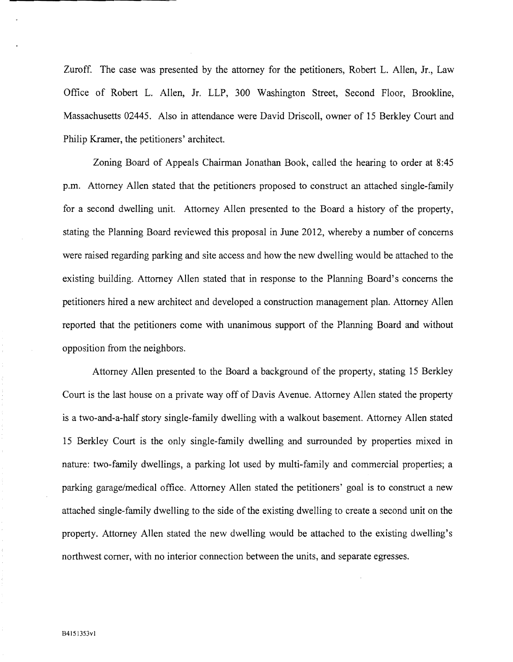Zuroff. The case was presented by the attorney for the petitioners, Robert L. Allen, Jr., Law Office of Robert L. Allen, Jr. LLP, 300 Washington Street, Second Floor, Brookline, Massachusetts 02445. Also in attendance were David Driscoll, owner of 15 Berkley Court and Philip Kramer, the petitioners' architect.

Zoning Board of Appeals Chairman Jonathan Book, called the hearing to order at 8:45 p.m. Attorney Allen stated that the petitioners proposed to construct an attached single-family for a second dwelling unit. Attorney Allen presented to the Board a history of the property, stating the Planning Board reviewed this proposal in June 2012, whereby a number of concerns were raised regarding parking and site access and how the new dwelling would be attached to the existing building. Attorney Allen stated that in response to the Planning Board's concerns the petitioners hired a new architect and developed a construction management plan. Attorney Allen reported that the petitioners corne with unanimous support of the Planning Board and without opposition from the neighbors.

Attorney Allen presented to the Board a background of the property, stating 15 Berkley Court is the last house on a private way off of Davis Avenue. Attorney Allen stated the property is a two-and-a-half story single-family dwelling with a walkout basement. Attorney Allen stated 15 Berkley Court is the only single-family dwelling and surrounded by properties mixed in nature: two-family dwellings, a parking lot used by multi-family and commercial properties; a parking garage/medical office. Attorney Allen stated the petitioners' goal is to construct a new attached single-family dwelling to the side of the existing dwelling to create a second unit on the property. Attorney Allen stated the new dwelling would be attached to the existing dwelling's northwest comer, with no interior connection between the units, and separate egresses.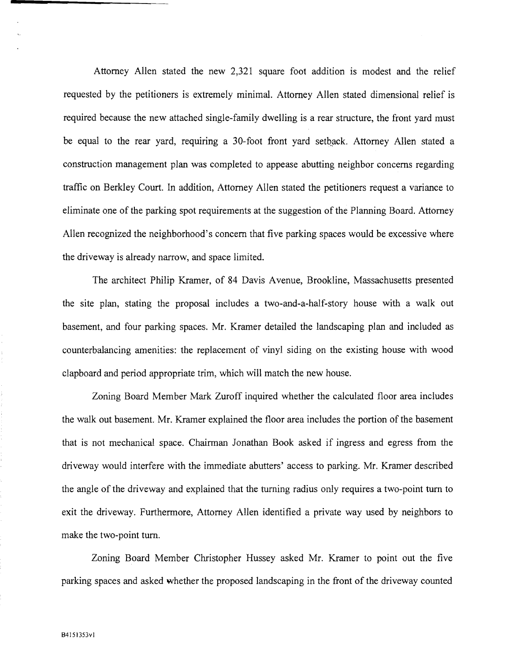Attorney Allen stated the new 2,321 square foot addition is modest and the relief requested by the petitioners is extremely minimal. Attorney Allen stated dimensional relief is required because the new attached single-family dwelling is a rear structure, the front yard must be equal to the rear yard, requiring a 30-foot front yard setback. Attorney Allen stated a construction management plan was completed to appease abutting neighbor concerns regarding traffic on Berkley Court. In addition, Attorney Allen stated the petitioners request a variance to eliminate one of the parking spot requirements at the suggestion of the Planning Board. Attorney Allen recognized the neighborhood's concern that five parking spaces would be excessive where the driveway is already narrow, and space limited.

The architect Philip Kramer, of 84 Davis Avenue, Brookline, Massachusetts presented the site plan, stating the proposal includes a two-and-a-half-story house with a walk out basement, and four parking spaces. Mr. Kramer detailed the landscaping plan and included as counterbalancing amenities: the replacement of vinyl siding on the existing house with wood clapboard and period appropriate trim, which will match the new house.

Zoning Board Member Mark Zuroff inquired whether the calculated floor area includes the walk out basement. Mr. Kramer explained the floor area includes the portion of the basement that is not mechanical space. Chairman Jonathan Book asked if ingress and egress from the driveway would interfere with the immediate abutters' access to parking. Mr. Kramer described the angle of the driveway and explained that the turning radius only requires a two-point tum to exit the driveway. Furthermore, Attorney Allen identified a private way used by neighbors to make the two-point tum.

Zoning Board Member Christopher Hussey asked Mr. Kramer to point out the five parking spaces and asked whether the proposed landscaping in the front of the driveway counted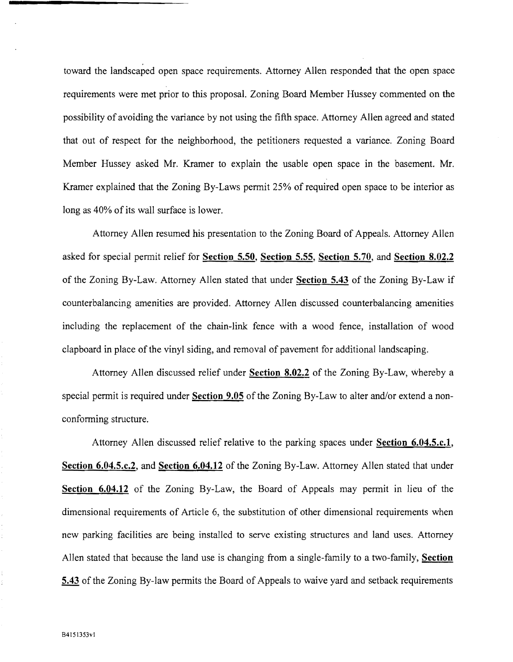toward the landscaped open space requirements. Attorney Allen responded that the open space requirements were met prior to this proposal. Zoning Board Member Hussey commented on the possibility of avoiding the variance by not using the fifth space. Attorney Allen agreed and stated that out of respect for the neighborhood, the petitioners requested a variance. Zoning Board Member Hussey asked Mr. Kramer to explain the usable open space in the basement. Mr. Kramer explained that the Zoning By-Laws permit 25% of required open space to be interior as long as 40% of its wall surface is lower.

Attorney Allen resumed his presentation to the Zoning Board of Appeals. Attorney Allen asked for special permit relief for Section 5.50, Section 5.55, Section 5.70, and Section 8.02.2 of the Zoning By-Law. Attorney Allen stated that under Section 5.43 of the Zoning By-Law if counterbalancing amenities are provided. Attorney Allen discussed counterbalancing amenities including the replacement of the chain-link fence with a wood fence, installation of wood clapboard in place of the vinyl siding, and removal of pavement for additional landscaping.

Attorney Allen discussed relief under Section 8.02.2 of the Zoning By-Law, whereby a special permit is required under Section 9.05 of the Zoning By-Law to alter and/or extend a nonconforming structure.

Attorney Allen discussed relief relative to the parking spaces under Section 6.04.5.c.1, Section 6.04.5.c.2, and Section 6.04.12 of the Zoning By-Law. Attorney Allen stated that under Section 6.04.12 of the Zoning By-Law, the Board of Appeals may permit in lieu of the dimensional requirements of Article 6, the substitution of other dimensional requirements when new parking facilities are being installed to serve existing structures and land uses. Attorney Allen stated that because the land use is changing from a single-family to a two-family, Section 5.43 of the Zoning By-law permits the Board of Appeals to waive yard and setback requirements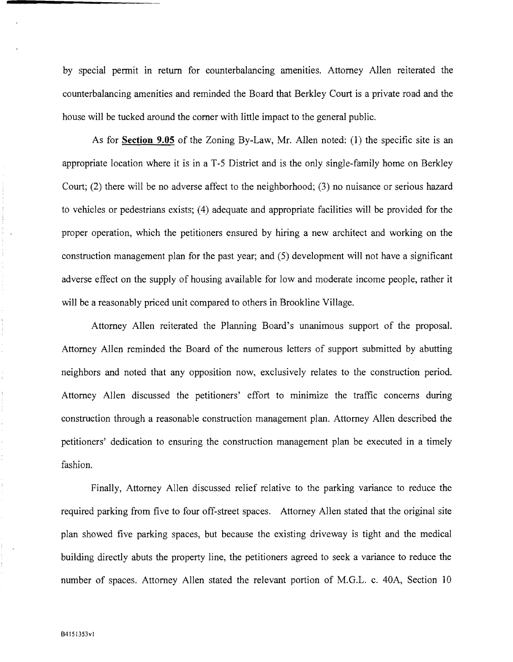by special pennit in return for counterbalancing amenities. Attorney Allen reiterated the counterbalancing amenities and reminded the Board that Berkley Court is a private road and the house will be tucked around the corner with little impact to the general public.

As for **Section 9.05** of the Zoning By-Law, Mr. Allen noted: (1) the specific site is an appropriate location where it is in a T-5 District and is the only single-family home on Berkley Court; (2) there will be no adverse affect to the neighborhood; (3) no nuisance or serious hazard to vehicles or pedestrians exists; (4) adequate and appropriate facilities will be provided for the proper operation, which the petitioners ensured by hiring a new architect and working on the construction management plan for the past year; and (5) development will not have a significant adverse effect on the supply of housing available for low and moderate income people, rather it will be a reasonably priced unit compared to others in Brookline Village.

Attorney Allen reiterated the Planning Board's unanimous support of the proposal. Attorney Allen reminded the Board of the numerous letters of support submitted by abutting neighbors and noted that any opposition now, exclusively relates to the construction period. Attorney Allen discussed the petitioners' effort to minimize the traffic concerns during construction through a reasonable construction management plan. Attorney Allen described the petitioners' dedication to ensuring the construction management plan be executed in a timely fashion.

Finally, Attorney Allen discussed relief relative to the parking variance to reduce the required parking from five to four off-street spaces. Attorney Allen stated that the original site plan showed five parking spaces, but because the existing driveway is tight and the medical building directly abuts the property line, the petitioners agreed to seek a variance to reduce the number of spaces. Attorney Allen stated the relevant portion of M.G.L. c. 40A, Section 10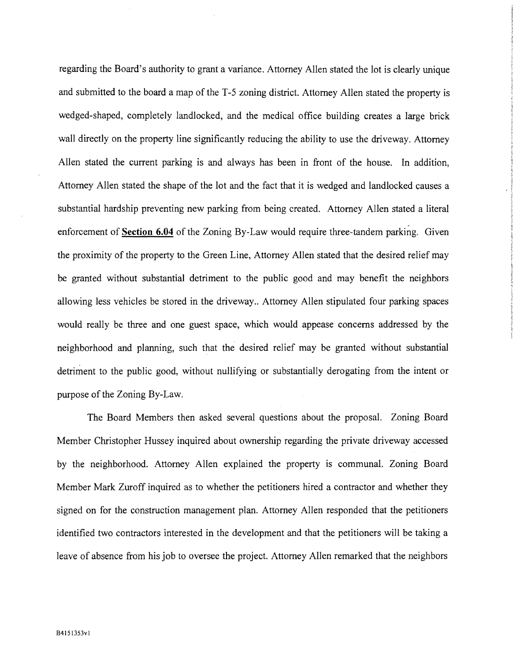regarding the Board's authority to grant a variance. Attorney Allen stated the lot is clearly unique and submitted to the board a map of the T-5 zoning district. Attorney Allen stated the property is wedged-shaped, completely landlocked, and the medical office building creates a large brick wall directly on the property line significantly reducing the ability to use the driveway. Attorney Allen stated the current parking is and always has been in front of the house. In addition, Attorney Allen stated the shape of the lot and the fact that it is wedged and landlocked causes a substantial hardship preventing new parking from being created. Attorney Allen stated a literal enforcement of **Section 6.04** of the Zoning By-Law would require three-tandem parking. Given the proximity of the property to the Green Line, Attorney Allen stated that the desired relief may be granted without substantial detriment to the public good and may benefit the neighbors allowing less vehicles be stored in the driveway.. Attorney Allen stipulated four parking spaces would really be three and one guest space, which would appease concerns addressed by the neighborhood and planning, such that the desired relief may be granted without substantial detriment to the public good, without nullifying or substantially derogating from the intent or purpose of the Zoning By-Law.

The Board Members then asked several questions about the proposal. Zoning Board Member Christopher Hussey inquired about ownership regarding the private driveway accessed by the neighborhood. Attorney Allen explained the property is communal. Zoning Board Member Mark Zuroff inquired as to whether the petitioners hired a contractor and whether they signed on for the construction management plan. Attorney Allen responded that the petitioners identified two contractors interested in the development and that the petitioners will be taking a leave of absence from his job to oversee the project. Attorney Allen remarked that the neighbors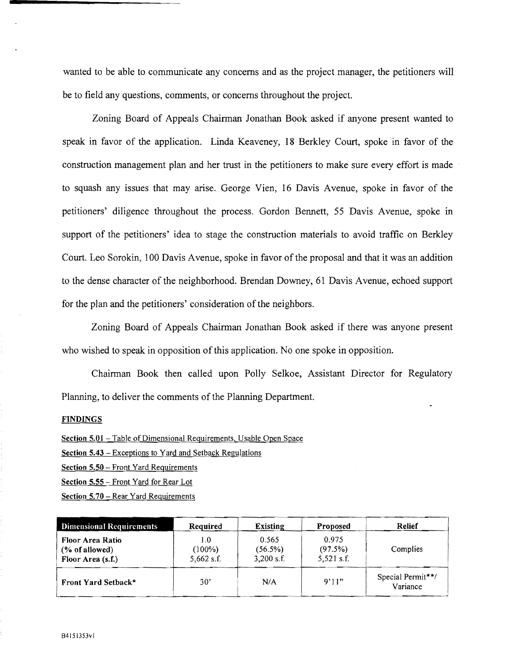wanted to be able to communicate any concerns and as the project manager, the petitioners will be to field any questions, comments, or concerns throughout the project.

Zoning Board of Appeals Chairman Jonathan Book asked if anyone present wanted to speak in favor of the application. Linda Keaveney, 18 Berkley Court, spoke in favor of the construction management plan and her trust in the petitioners to make sure every effort is made to squash any issues that may arise. George Vien, 16 Davis Avenue, spoke in favor of the petitioners' diligence throughout the process. Gordon Bennett, 55 Davis Avenue, spoke in support of the petitioners' idea to stage the construction materials to avoid traffic on Berkley Court. Leo Sorokin, 100 Davis A venue, spoke in favor of the proposal and that it was an addition to the dense character of the neighborhood. Brendan Downey, 61 Davis A venue, echoed support for the plan and the petitioners' consideration of the neighbors.

Zoning Board of Appeals Chairman Jonathan Book asked if there was anyone present who wished to speak in opposition of this application. No one spoke in opposition.

Chairman Book then called upon Polly Selkoe, Assistant Director for Regulatory Planning, to deliver the comments of the Planning Department.

### **FINDINGS**

Section 5.01 - Table of Dimensional Requirements, Usable Open Space

Section 5.43 – Exceptions to Yard and Setback Regulations

Section 5.50 - Front Yard Requirements

Section 5.55 - Front Yard for Rear Lot

Section 5.70 - Rear Yard Requirements

| <b>Dimensional Requirements</b>                                   | Required                       | <b>Existing</b>                  | Proposed                         | <b>Relief</b>                 |
|-------------------------------------------------------------------|--------------------------------|----------------------------------|----------------------------------|-------------------------------|
| <b>Floor Area Ratio</b><br>$(\%$ of allowed)<br>Floor Area (s.f.) | 1.0<br>$(100\%)$<br>5,662 s.f. | 0.565<br>(56.5%)<br>$3,200$ s.f. | 0.975<br>(97.5%)<br>$5,521$ s.f. | Complies                      |
| Front Yard Setback*                                               | $30^{\circ}$                   | N/A                              | 9'11"                            | Special Permit**/<br>Variance |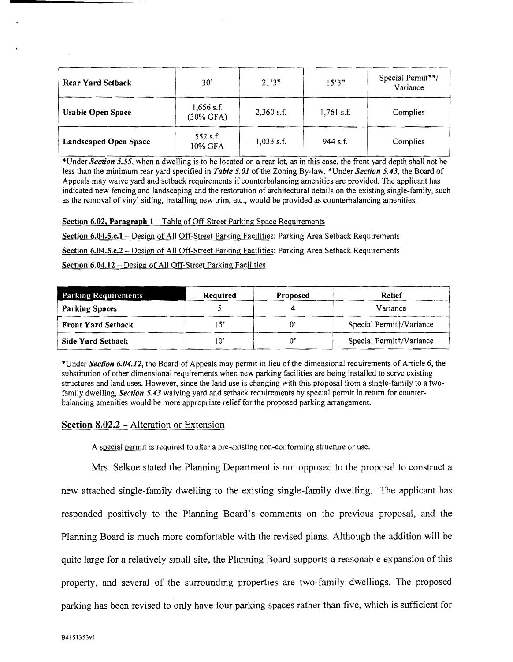| $1,656$ s.f.<br><b>Usable Open Space</b><br>$(30\%$ GFA) | $2,360$ s.f. | $1,761$ s.f. |          |
|----------------------------------------------------------|--------------|--------------|----------|
|                                                          |              |              | Complies |
| 552 s.f.<br><b>Landscaped Open Space</b><br>10% GFA      | $1,033$ s.f. | $944$ s.f.   | Complies |

less than the minimum rear yard specified in *Table 5.01* of the Zoning By-law. \* Under *Section 5.43*, the Board of Appeals may waive yard and setback requirements if counterbalancing amenities are provided. The applicant has indicated new fencing and landscaping and the restoration of architectural details on the existing single-family, such as the removal of vinyl siding, installing new trim, etc., would be provided as counterbalancing amenities.

Section 6.02, Paragraph 1 - Table of Off-Street Parking Space Requirements

Section 6.04.5.c.l - Design of All Off-Street Parking Facilities: Parking Area Setback Requirements Section 6.04.5.c.2 - Design of All Off-Street Parking Facilities: Parking Area Setback Requirements Section 6.04.12 - Design of All Off-Street Parking Facilities

| <b>Parking Requirements</b> | Required | Proposed | Relief                   |
|-----------------------------|----------|----------|--------------------------|
| <b>Parking Spaces</b>       |          |          | Variance                 |
| <b>Front Yard Setback</b>   | $-5$     |          | Special Permitt/Variance |
| Side Yard Setback           | 10'      |          | Special Permitt/Variance |

\*Under *Section 6.04.12,* the Board of Appeals may permit in lieu ofthe dimensional requirements of Article 6, the substitution of other dimensional requirements when new parking facilities are being installed to serve existing structures and land uses. However, since the land use is changing with this proposal from a single-family to a two family dwelling, *Section* 5.43 waiving yard and setback requirements by special permit in return for counter balancing amenities would be more appropriate relief for the proposed parking arrangement.

## Section 8.02.2 - Alteration or Extension

A special permit is required to alter a pre-existing non-conforming structure or use.

Mrs. Selkoe stated the Planning Department is not opposed to the proposal to construct a new attached single-family dwelling to the existing single-family dwelling. The applicant has responded positively to the Planning Board's comments on the previous proposal, and the Planning Board is much more comfortable with the revised plans. Although the addition will be quite large for a relatively small site, the Planning Board supports a reasonable expansion of this property, and several of the surrounding properties are two-family dwellings. The proposed parking has been revised to only have four parking spaces rather than five, which is sufficient for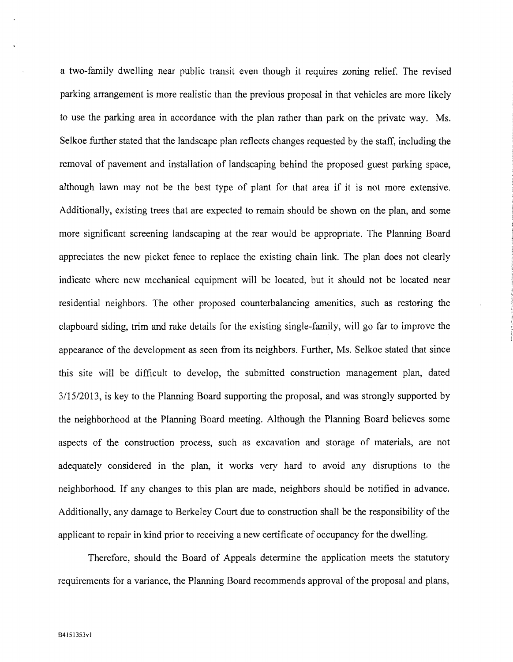a two-family dwelling near public transit even though it requires zoning relief. The revised parking arrangement is more realistic than the previous proposal in that vehicles are more likely to use the parking area in accordance with the plan rather than park on the private way. Ms. Selkoe further stated that the landscape plan reflects changes requested by the staff, including the removal of pavement and installation of landscaping behind the proposed guest parking space, although lawn may not be the best type of plant for that area if it is not more extensive. Additionally, existing trees that are expected to remain should be shown on the plan, and some more significant screening landscaping at the rear would be appropriate. The Planning Board appreciates the new picket fence to replace the existing chain link. The plan does not clearly indicate where new mechanical equipment will be located, but it should not be located near residential neighbors. The other proposed counterbalancing amenities, such as restoring the clapboard siding, trim and rake details for the existing single-family, will go far to improve the appearance of the development as seen from its neighbors. Further, Ms. Selkoe stated that since this site will be difficult to develop, the submitted construction management plan, dated *3/15/2013,* is key to the Planning Board supporting the proposal, and was strongly supported by the neighborhood at the Planning Board meeting. Although the Planning Board believes some aspects of the construction process, such as excavation and storage of materials, are not adequately considered in the plan, it works very hard to avoid any disruptions to the neighborhood. If any changes to this plan are made, neighbors should be notified in advance. Additionally, any damage to Berkeley Court due to construction shall be the responsibility of the applicant to repair in kind prior to receiving a new certificate of occupancy for the dwelling.

Therefore, should the Board of Appeals determine the application meets the statutory requirements for a variance, the Planning Board recommends approval of the proposal and plans,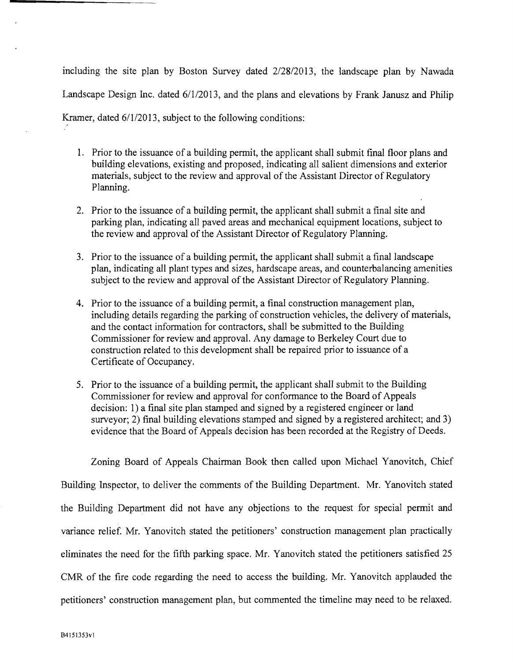including the site plan by Boston Survey dated 2/28/2013, the landscape plan by Nawada Landscape Design Inc. dated 6/1/2013, and the plans and elevations by Frank Janusz and Philip

Kramer, dated  $6/1/2013$ , subject to the following conditions: '"

- 1. Prior to the issuance of a building permit, the applicant shall submit final floor plans and building elevations, existing and proposed, indicating all salient dimensions and exterior materials, subject to the review and approval of the Assistant Director of Regulatory Planning.
- 2. Prior to the issuance of a building permit, the applicant shall submit a final site and parking plan, indicating all paved areas and mechanical equipment locations, subject to the review and approval of the Assistant Director of Regulatory Planning.
- 3. Prior to the issuance of a building permit, the applicant shall submit a final landscape plan, indicating all plant types and sizes, hardscape areas, and counterbalancing amenities subject to the review and approval of the Assistant Director of Regulatory Planning.
- 4. Prior to the issuance of a building permit, a final construction management plan, including details regarding the parking of construction vehicles, the delivery of materials, and the contact information for contractors, shall be submitted to the Building Commissioner for review and approval. Any damage to Berkeley Court due to construction related to this development shall be repaired prior to issuance of a Certificate of Occupancy.
- 5. Prior to the issuance of a building permit, the applicant shall submit to the Building Commissioner for review and approval for conformance to the Board of Appeals decision: 1) a final site plan stamped and signed by a registered engineer or land surveyor; 2) final building elevations stamped and signed by a registered architect; and 3) evidence that the Board of Appeals decision has been recorded at the Registry of Deeds.

Zoning Board of Appeals Chairman Book then called upon Michael Yanovitch, Chief Building Inspector, to deliver the comments of the Building Department. Mr. Yanovitch stated the Building Department did not have any objections to the request for special permit and variance relief. Mr. Yanovitch stated the petitioners' construction management plan practically eliminates the need for the fifth parking space. Mr. Yanovitch stated the petitioners satisfied 25 CMR of the fire code regarding the need to access the building. Mr. Yanovitch applauded the petitioners' construction management plan, but commented the timeline may need to be relaxed.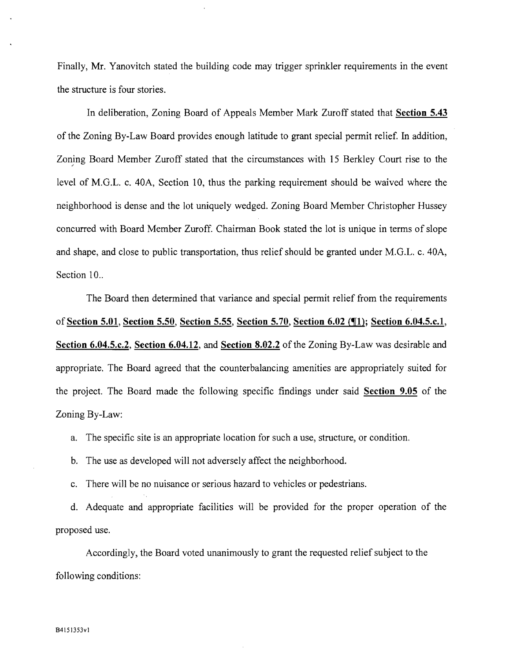Finally, Mr. Yanovitch stated the building code may trigger sprinkler requirements in the event the structure is four stories.

In deliberation, Zoning Board of Appeals Member Mark Zuroff stated that Section 5.43 of the Zoning By-Law Board provides enough latitude to grant special permit relief. In addition, Zoning Board Member Zuroff stated that the circumstances with 15 Berkley Court rise to the level of M.G.L. c. 40A, Section 10, thus the parking requirement should be waived where the neighborhood is dense and the lot uniquely wedged. Zoning Board Member Christopher Hussey concurred with Board Member Zuroff. Chairman Book stated the lot is unique in terms of slope and shape, and close to public transportation, thus relief should be granted under M.G.L. c. 40A, Section 10..

The Board then determined that variance and special permit relief from the requirements of Section 5.01, Section 5.50, Section 5.55, Section 5.70, Section 6.02 (¶1); Section 6.04.5.c.1, Section 6.04.5.c.2, Section 6.04.12, and Section 8.02.2 of the Zoning By-Law was desirable and appropriate. The Board agreed that the counterbalancing amenities are appropriately suited for the project. The Board made the following specific findings under said Section 9.05 of the Zoning By-Law:

a. The specific site is an appropriate location for such a use, structure, or condition.

b. The use as developed will not adversely affect the neighborhood.

c. There will be no nuisance or serious hazard to vehicles or pedestrians.

d. Adequate and appropriate facilities will be provided for the proper operation of the proposed use.

Accordingly, the Board voted unanimously to grant the requested relief subject to the following conditions: